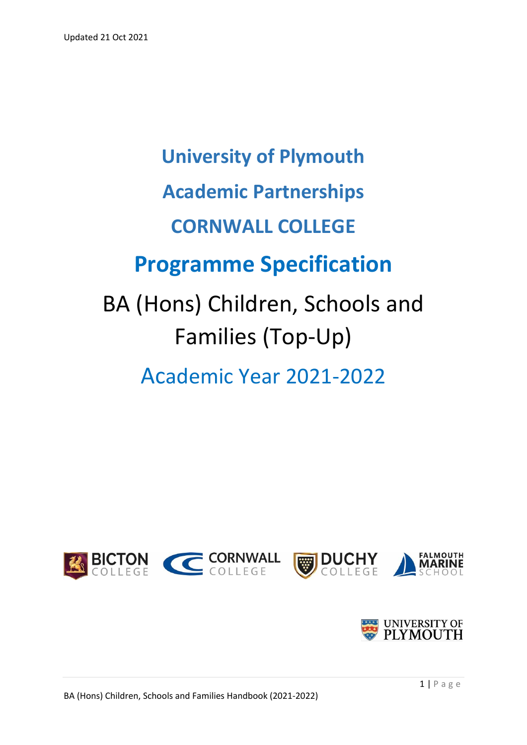# **University of Plymouth Academic Partnerships CORNWALL COLLEGE Programme Specification** BA (Hons) Children, Schools and Families (Top-Up)

Academic Year 2021-2022



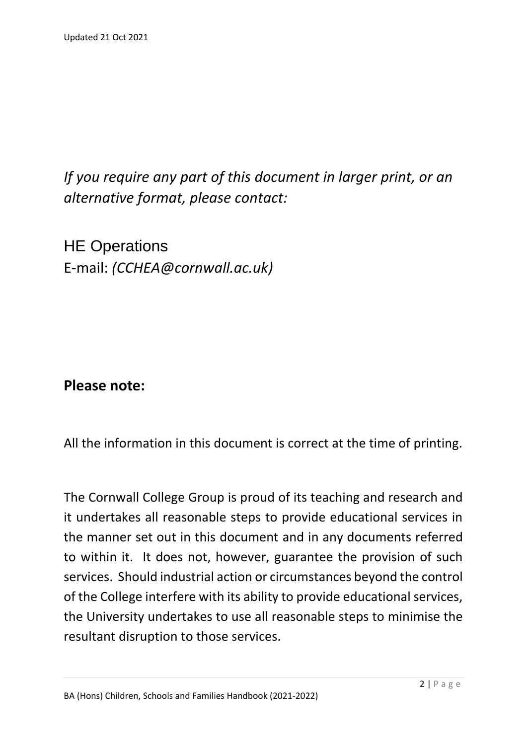*If you require any part of this document in larger print, or an alternative format, please contact:*

HE Operations E-mail: *(CCHEA@cornwall.ac.uk)*

**Please note:**

All the information in this document is correct at the time of printing.

The Cornwall College Group is proud of its teaching and research and it undertakes all reasonable steps to provide educational services in the manner set out in this document and in any documents referred to within it. It does not, however, guarantee the provision of such services. Should industrial action or circumstances beyond the control of the College interfere with its ability to provide educational services, the University undertakes to use all reasonable steps to minimise the resultant disruption to those services.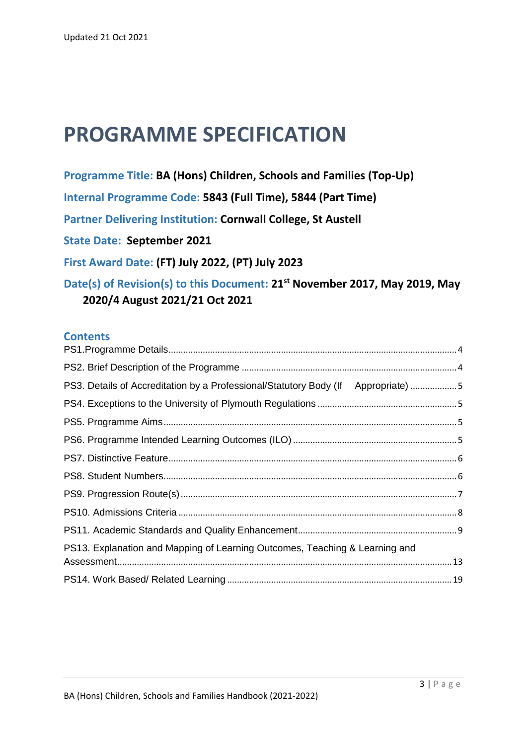# **PROGRAMME SPECIFICATION**

**Programme Title: BA (Hons) Children, Schools and Families (Top-Up) Internal Programme Code: 5843 (Full Time), 5844 (Part Time) Partner Delivering Institution: Cornwall College, St Austell State Date: September 2021 First Award Date: (FT) July 2022, (PT) July 2023 Date(s) of Revision(s) to this Document: 21st November 2017, May 2019, May 2020/4 August 2021/21 Oct 2021**

#### **Contents**

| PS3. Details of Accreditation by a Professional/Statutory Body (If Appropriate) 5 |  |
|-----------------------------------------------------------------------------------|--|
|                                                                                   |  |
|                                                                                   |  |
|                                                                                   |  |
|                                                                                   |  |
|                                                                                   |  |
|                                                                                   |  |
|                                                                                   |  |
|                                                                                   |  |
| PS13. Explanation and Mapping of Learning Outcomes, Teaching & Learning and       |  |
|                                                                                   |  |
|                                                                                   |  |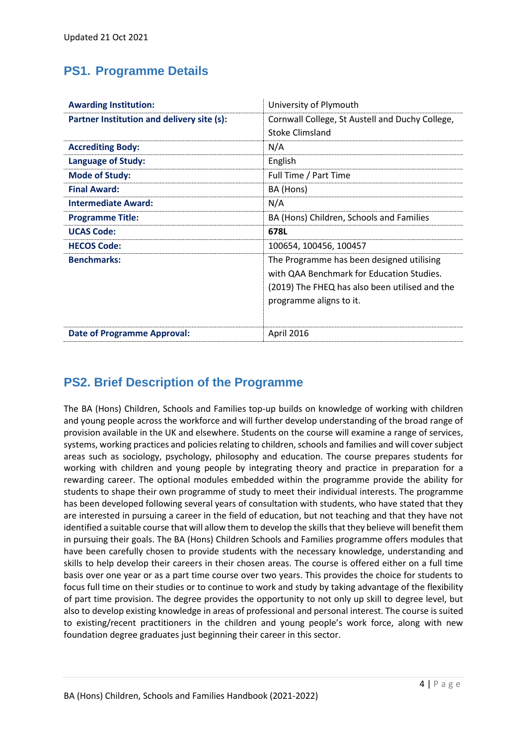### <span id="page-3-0"></span>**PS1. Programme Details**

| <b>Awarding Institution:</b>               | University of Plymouth                                                                                                                                              |  |  |  |  |
|--------------------------------------------|---------------------------------------------------------------------------------------------------------------------------------------------------------------------|--|--|--|--|
| Partner Institution and delivery site (s): | Cornwall College, St Austell and Duchy College,<br><b>Stoke Climsland</b>                                                                                           |  |  |  |  |
| <b>Accrediting Body:</b>                   | N/A                                                                                                                                                                 |  |  |  |  |
| <b>Language of Study:</b>                  | English                                                                                                                                                             |  |  |  |  |
| <b>Mode of Study:</b>                      | Full Time / Part Time                                                                                                                                               |  |  |  |  |
| <b>Final Award:</b>                        | BA (Hons)                                                                                                                                                           |  |  |  |  |
| <b>Intermediate Award:</b>                 | N/A                                                                                                                                                                 |  |  |  |  |
| <b>Programme Title:</b>                    | BA (Hons) Children, Schools and Families                                                                                                                            |  |  |  |  |
| <b>UCAS Code:</b>                          | 678L                                                                                                                                                                |  |  |  |  |
| <b>HECOS Code:</b>                         | 100654, 100456, 100457                                                                                                                                              |  |  |  |  |
| <b>Benchmarks:</b>                         | The Programme has been designed utilising<br>with QAA Benchmark for Education Studies.<br>(2019) The FHEQ has also been utilised and the<br>programme aligns to it. |  |  |  |  |
| <b>Date of Programme Approval:</b>         | April 2016                                                                                                                                                          |  |  |  |  |

# <span id="page-3-1"></span>**PS2. Brief Description of the Programme**

The BA (Hons) Children, Schools and Families top-up builds on knowledge of working with children and young people across the workforce and will further develop understanding of the broad range of provision available in the UK and elsewhere. Students on the course will examine a range of services, systems, working practices and policies relating to children, schools and families and will cover subject areas such as sociology, psychology, philosophy and education. The course prepares students for working with children and young people by integrating theory and practice in preparation for a rewarding career. The optional modules embedded within the programme provide the ability for students to shape their own programme of study to meet their individual interests. The programme has been developed following several years of consultation with students, who have stated that they are interested in pursuing a career in the field of education, but not teaching and that they have not identified a suitable course that will allow them to develop the skills that they believe will benefit them in pursuing their goals. The BA (Hons) Children Schools and Families programme offers modules that have been carefully chosen to provide students with the necessary knowledge, understanding and skills to help develop their careers in their chosen areas. The course is offered either on a full time basis over one year or as a part time course over two years. This provides the choice for students to focus full time on their studies or to continue to work and study by taking advantage of the flexibility of part time provision. The degree provides the opportunity to not only up skill to degree level, but also to develop existing knowledge in areas of professional and personal interest. The course is suited to existing/recent practitioners in the children and young people's work force, along with new foundation degree graduates just beginning their career in this sector.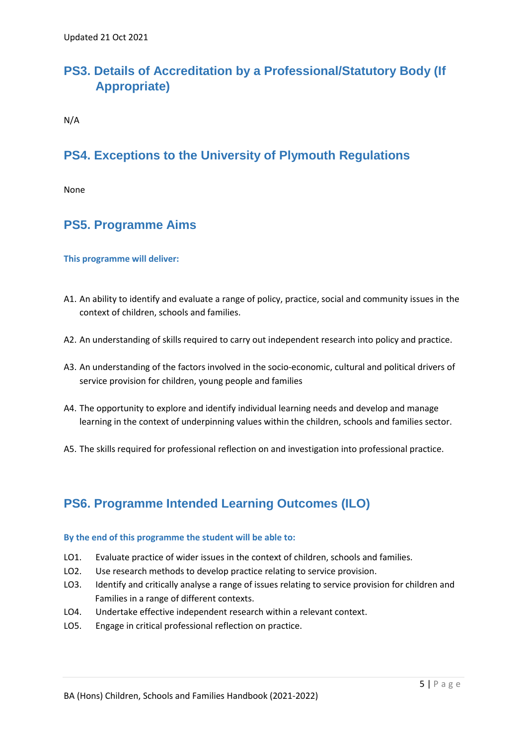# <span id="page-4-0"></span>**PS3. Details of Accreditation by a Professional/Statutory Body (If Appropriate)**

N/A

# <span id="page-4-1"></span>**PS4. Exceptions to the University of Plymouth Regulations**

None

# <span id="page-4-2"></span>**PS5. Programme Aims**

#### **This programme will deliver:**

- A1. An ability to identify and evaluate a range of policy, practice, social and community issues in the context of children, schools and families.
- A2. An understanding of skills required to carry out independent research into policy and practice.
- A3. An understanding of the factors involved in the socio-economic, cultural and political drivers of service provision for children, young people and families
- A4. The opportunity to explore and identify individual learning needs and develop and manage learning in the context of underpinning values within the children, schools and families sector.
- A5. The skills required for professional reflection on and investigation into professional practice.

#### <span id="page-4-3"></span>**PS6. Programme Intended Learning Outcomes (ILO)**

#### **By the end of this programme the student will be able to:**

- LO1. Evaluate practice of wider issues in the context of children, schools and families.
- LO2. Use research methods to develop practice relating to service provision.
- LO3. Identify and critically analyse a range of issues relating to service provision for children and Families in a range of different contexts.
- LO4. Undertake effective independent research within a relevant context.
- LO5. Engage in critical professional reflection on practice.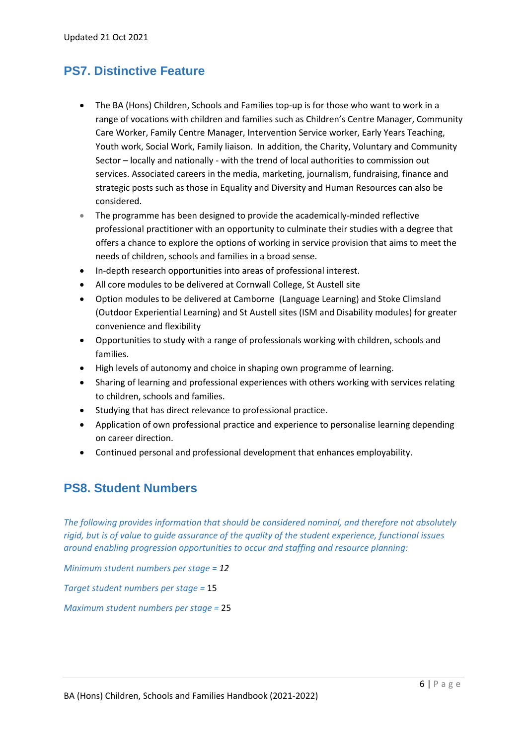#### <span id="page-5-0"></span>**PS7. Distinctive Feature**

- The BA (Hons) Children, Schools and Families top-up is for those who want to work in a range of vocations with children and families such as Children's Centre Manager, Community Care Worker, Family Centre Manager, Intervention Service worker, Early Years Teaching, Youth work, Social Work, Family liaison. In addition, the Charity, Voluntary and Community Sector – locally and nationally - with the trend of local authorities to commission out services. Associated careers in the media, marketing, journalism, fundraising, finance and strategic posts such as those in Equality and Diversity and Human Resources can also be considered.
- The programme has been designed to provide the academically-minded reflective professional practitioner with an opportunity to culminate their studies with a degree that offers a chance to explore the options of working in service provision that aims to meet the needs of children, schools and families in a broad sense.
- In-depth research opportunities into areas of professional interest.
- All core modules to be delivered at Cornwall College, St Austell site
- Option modules to be delivered at Camborne (Language Learning) and Stoke Climsland (Outdoor Experiential Learning) and St Austell sites (ISM and Disability modules) for greater convenience and flexibility
- Opportunities to study with a range of professionals working with children, schools and families.
- High levels of autonomy and choice in shaping own programme of learning.
- Sharing of learning and professional experiences with others working with services relating to children, schools and families.
- Studying that has direct relevance to professional practice.
- Application of own professional practice and experience to personalise learning depending on career direction.
- Continued personal and professional development that enhances employability.

#### <span id="page-5-1"></span>**PS8. Student Numbers**

*The following provides information that should be considered nominal, and therefore not absolutely rigid, but is of value to guide assurance of the quality of the student experience, functional issues around enabling progression opportunities to occur and staffing and resource planning:*

*Minimum student numbers per stage = 12*

*Target student numbers per stage =* 15

*Maximum student numbers per stage =* 25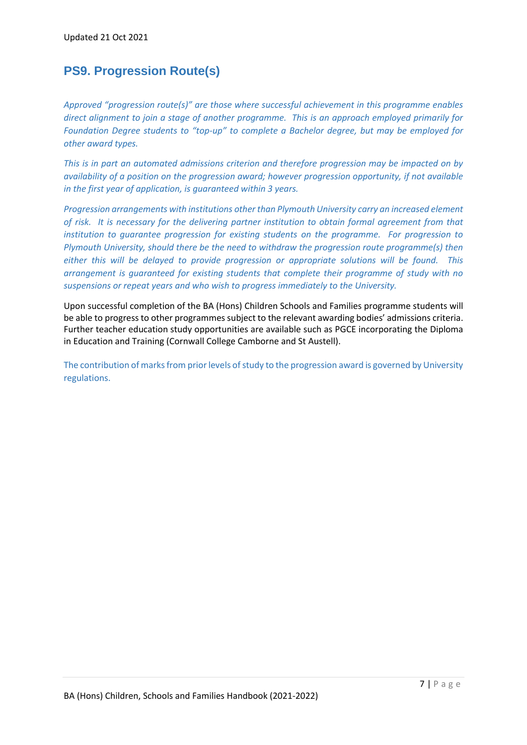### <span id="page-6-0"></span>**PS9. Progression Route(s)**

*Approved "progression route(s)" are those where successful achievement in this programme enables direct alignment to join a stage of another programme. This is an approach employed primarily for Foundation Degree students to "top-up" to complete a Bachelor degree, but may be employed for other award types.*

*This is in part an automated admissions criterion and therefore progression may be impacted on by availability of a position on the progression award; however progression opportunity, if not available in the first year of application, is guaranteed within 3 years.*

*Progression arrangements with institutions other than Plymouth University carry an increased element of risk. It is necessary for the delivering partner institution to obtain formal agreement from that institution to guarantee progression for existing students on the programme. For progression to Plymouth University, should there be the need to withdraw the progression route programme(s) then either this will be delayed to provide progression or appropriate solutions will be found. This arrangement is guaranteed for existing students that complete their programme of study with no suspensions or repeat years and who wish to progress immediately to the University.* 

Upon successful completion of the BA (Hons) Children Schools and Families programme students will be able to progress to other programmes subject to the relevant awarding bodies' admissions criteria. Further teacher education study opportunities are available such as PGCE incorporating the Diploma in Education and Training (Cornwall College Camborne and St Austell).

The contribution of marks from prior levels of study to the progression award is governed by University regulations.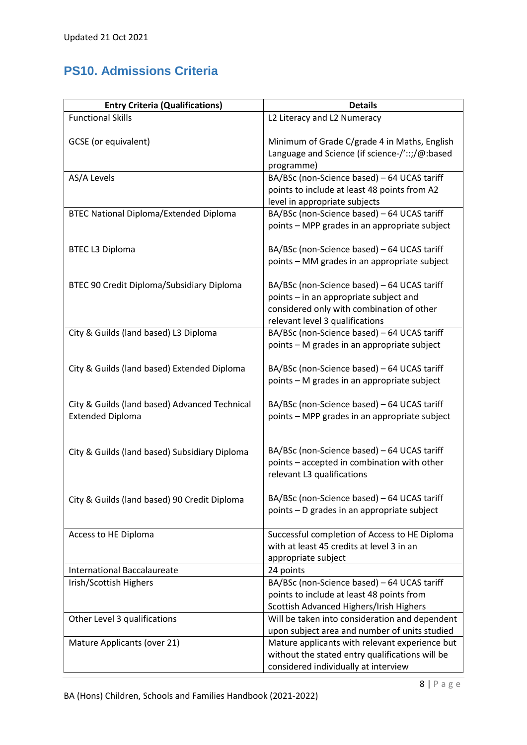# <span id="page-7-0"></span>**PS10. Admissions Criteria**

| <b>Entry Criteria (Qualifications)</b>                                   | <b>Details</b>                                                                                                                                                        |
|--------------------------------------------------------------------------|-----------------------------------------------------------------------------------------------------------------------------------------------------------------------|
| <b>Functional Skills</b>                                                 | L2 Literacy and L2 Numeracy                                                                                                                                           |
| GCSE (or equivalent)                                                     | Minimum of Grade C/grade 4 in Maths, English<br>Language and Science (if science-/'::;/@:based<br>programme)                                                          |
| AS/A Levels                                                              | BA/BSc (non-Science based) - 64 UCAS tariff<br>points to include at least 48 points from A2<br>level in appropriate subjects                                          |
| <b>BTEC National Diploma/Extended Diploma</b>                            | BA/BSc (non-Science based) - 64 UCAS tariff<br>points - MPP grades in an appropriate subject                                                                          |
| <b>BTEC L3 Diploma</b>                                                   | BA/BSc (non-Science based) - 64 UCAS tariff<br>points - MM grades in an appropriate subject                                                                           |
| BTEC 90 Credit Diploma/Subsidiary Diploma                                | BA/BSc (non-Science based) - 64 UCAS tariff<br>points - in an appropriate subject and<br>considered only with combination of other<br>relevant level 3 qualifications |
| City & Guilds (land based) L3 Diploma                                    | BA/BSc (non-Science based) - 64 UCAS tariff<br>points - M grades in an appropriate subject                                                                            |
| City & Guilds (land based) Extended Diploma                              | BA/BSc (non-Science based) - 64 UCAS tariff<br>points - M grades in an appropriate subject                                                                            |
| City & Guilds (land based) Advanced Technical<br><b>Extended Diploma</b> | BA/BSc (non-Science based) - 64 UCAS tariff<br>points - MPP grades in an appropriate subject                                                                          |
| City & Guilds (land based) Subsidiary Diploma                            | BA/BSc (non-Science based) - 64 UCAS tariff<br>points - accepted in combination with other<br>relevant L3 qualifications                                              |
| City & Guilds (land based) 90 Credit Diploma                             | BA/BSc (non-Science based) - 64 UCAS tariff<br>points - D grades in an appropriate subject                                                                            |
| Access to HE Diploma                                                     | Successful completion of Access to HE Diploma<br>with at least 45 credits at level 3 in an<br>appropriate subject                                                     |
| <b>International Baccalaureate</b>                                       | 24 points                                                                                                                                                             |
| Irish/Scottish Highers                                                   | BA/BSc (non-Science based) - 64 UCAS tariff<br>points to include at least 48 points from<br>Scottish Advanced Highers/Irish Highers                                   |
| Other Level 3 qualifications                                             | Will be taken into consideration and dependent<br>upon subject area and number of units studied                                                                       |
| Mature Applicants (over 21)                                              | Mature applicants with relevant experience but<br>without the stated entry qualifications will be<br>considered individually at interview                             |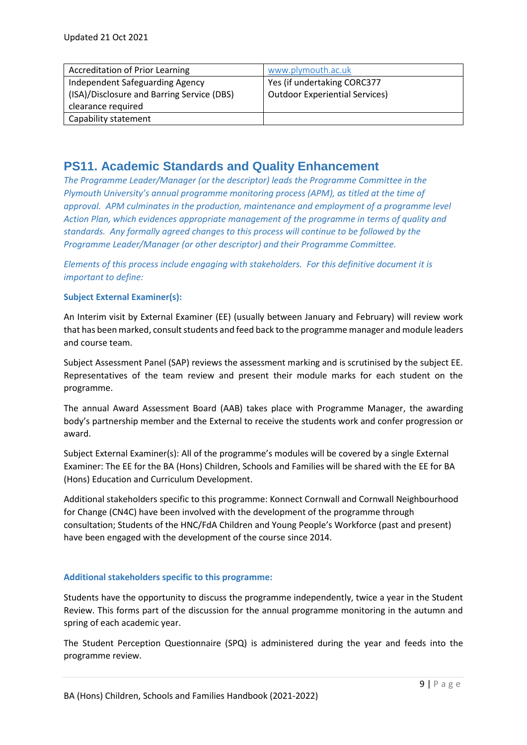| <b>Accreditation of Prior Learning</b>     | www.plymouth.ac.uk                    |
|--------------------------------------------|---------------------------------------|
| Independent Safeguarding Agency            | Yes (if undertaking CORC377           |
| (ISA)/Disclosure and Barring Service (DBS) | <b>Outdoor Experiential Services)</b> |
| clearance required                         |                                       |
| Capability statement                       |                                       |

#### <span id="page-8-0"></span>**PS11. Academic Standards and Quality Enhancement**

*The Programme Leader/Manager (or the descriptor) leads the Programme Committee in the Plymouth University's annual programme monitoring process (APM), as titled at the time of approval. APM culminates in the production, maintenance and employment of a programme level Action Plan, which evidences appropriate management of the programme in terms of quality and standards. Any formally agreed changes to this process will continue to be followed by the Programme Leader/Manager (or other descriptor) and their Programme Committee.* 

*Elements of this process include engaging with stakeholders. For this definitive document it is important to define:*

#### **Subject External Examiner(s):**

An Interim visit by External Examiner (EE) (usually between January and February) will review work that has been marked, consult students and feed back to the programme manager and module leaders and course team.

Subject Assessment Panel (SAP) reviews the assessment marking and is scrutinised by the subject EE. Representatives of the team review and present their module marks for each student on the programme.

The annual Award Assessment Board (AAB) takes place with Programme Manager, the awarding body's partnership member and the External to receive the students work and confer progression or award.

Subject External Examiner(s): All of the programme's modules will be covered by a single External Examiner: The EE for the BA (Hons) Children, Schools and Families will be shared with the EE for BA (Hons) Education and Curriculum Development.

Additional stakeholders specific to this programme: Konnect Cornwall and Cornwall Neighbourhood for Change (CN4C) have been involved with the development of the programme through consultation; Students of the HNC/FdA Children and Young People's Workforce (past and present) have been engaged with the development of the course since 2014.

#### **Additional stakeholders specific to this programme:**

Students have the opportunity to discuss the programme independently, twice a year in the Student Review. This forms part of the discussion for the annual programme monitoring in the autumn and spring of each academic year.

The Student Perception Questionnaire (SPQ) is administered during the year and feeds into the programme review.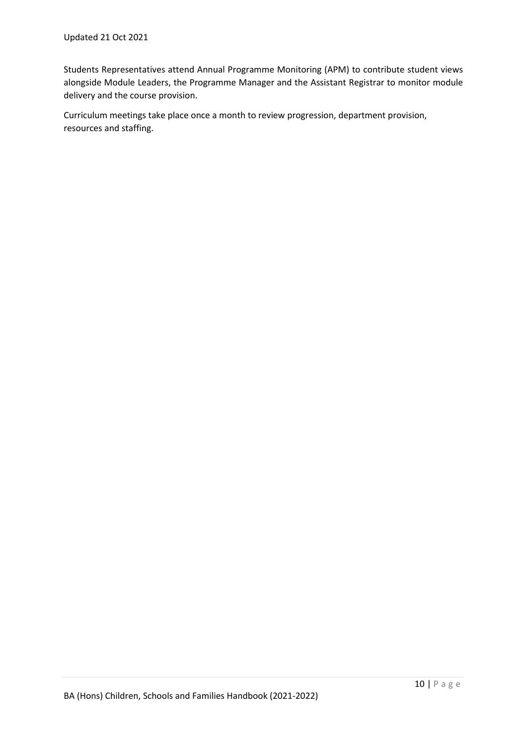Students Representatives attend Annual Programme Monitoring (APM) to contribute student views alongside Module Leaders, the Programme Manager and the Assistant Registrar to monitor module delivery and the course provision.

Curriculum meetings take place once a month to review progression, department provision, resources and staffing.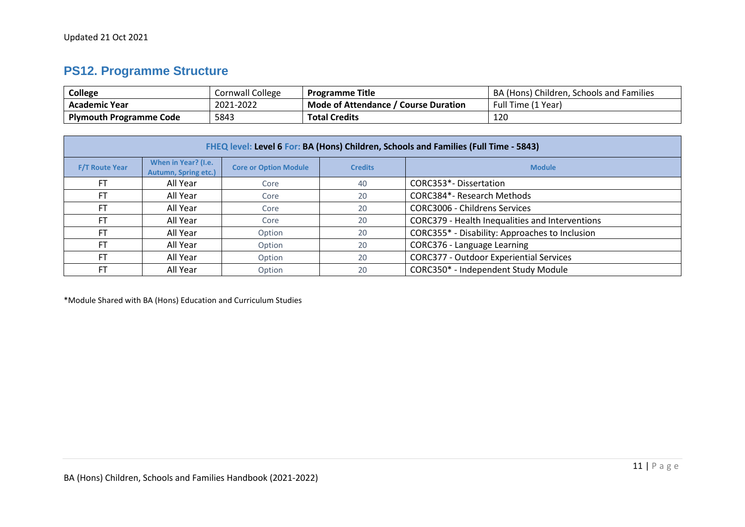# **PS12. Programme Structure**

| College                        | Cornwall College | <b>Programme Title</b>                  | BA (Hons) Children, Schools and Families |
|--------------------------------|------------------|-----------------------------------------|------------------------------------------|
| <b>Academic Year</b>           | 2021-2022        | Mode of Attendance<br>' Course Duration | Full Time (1 Year)                       |
| <b>Plymouth Programme Code</b> | 5843             | <b>Total Credits</b>                    | 120                                      |

|                       | FHEQ level: Level 6 For: BA (Hons) Children, Schools and Families (Full Time - 5843) |                              |                |                                                 |  |  |  |  |
|-----------------------|--------------------------------------------------------------------------------------|------------------------------|----------------|-------------------------------------------------|--|--|--|--|
| <b>F/T Route Year</b> | When in Year? (I.e.<br><b>Autumn, Spring etc.)</b>                                   | <b>Core or Option Module</b> | <b>Credits</b> | <b>Module</b>                                   |  |  |  |  |
| <b>FT</b>             | All Year                                                                             | Core                         | 40             | CORC353*-Dissertation                           |  |  |  |  |
| FT                    | All Year                                                                             | Core                         | 20             | CORC384*- Research Methods                      |  |  |  |  |
| <b>FT</b>             | All Year                                                                             | Core                         | 20             | <b>CORC3006 - Childrens Services</b>            |  |  |  |  |
| <b>FT</b>             | All Year                                                                             | Core                         | 20             | CORC379 - Health Inequalities and Interventions |  |  |  |  |
| FT                    | All Year                                                                             | Option                       | 20             | CORC355* - Disability: Approaches to Inclusion  |  |  |  |  |
| <b>FT</b>             | All Year                                                                             | Option                       | 20             | CORC376 - Language Learning                     |  |  |  |  |
| <b>FT</b>             | All Year                                                                             | Option                       | 20             | <b>CORC377 - Outdoor Experiential Services</b>  |  |  |  |  |
| <b>FT</b>             | All Year                                                                             | Option                       | 20             | CORC350* - Independent Study Module             |  |  |  |  |

\*Module Shared with BA (Hons) Education and Curriculum Studies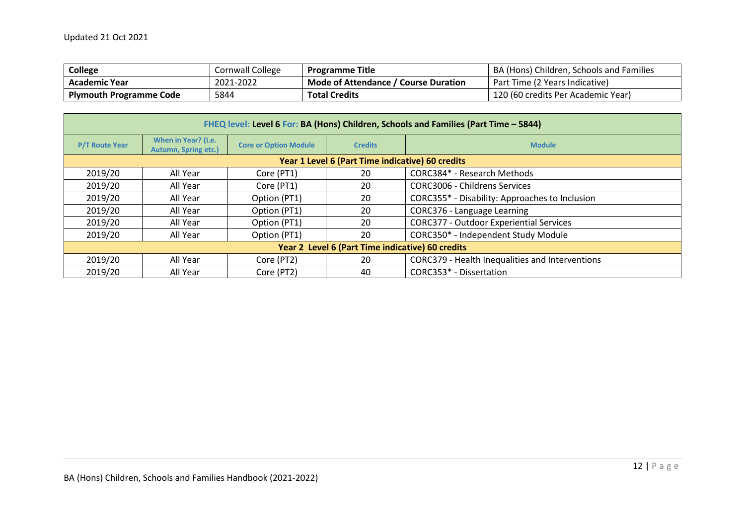| <b>College</b>                 | Cornwall College | <b>Programme Title</b>               | BA (Hons) Children, Schools and Families |
|--------------------------------|------------------|--------------------------------------|------------------------------------------|
| <b>Academic Year</b>           | 2021-2022        | Mode of Attendance / Course Duration | Part Time (2 Years Indicative)           |
| <b>Plymouth Programme Code</b> | 5844             | <b>Total Credits</b>                 | 120 (60 credits Per Academic Year)       |

| FHEQ level: Level 6 For: BA (Hons) Children, Schools and Families (Part Time - 5844) |                                             |                              |                |                                                 |  |  |  |  |
|--------------------------------------------------------------------------------------|---------------------------------------------|------------------------------|----------------|-------------------------------------------------|--|--|--|--|
| <b>P/T Route Year</b>                                                                | When in Year? (I.e.<br>Autumn, Spring etc.) | <b>Core or Option Module</b> | <b>Credits</b> | <b>Module</b>                                   |  |  |  |  |
| Year 1 Level 6 (Part Time indicative) 60 credits                                     |                                             |                              |                |                                                 |  |  |  |  |
| 2019/20                                                                              | All Year                                    | Core (PT1)                   | 20             | CORC384* - Research Methods                     |  |  |  |  |
| 2019/20                                                                              | All Year                                    | Core (PT1)                   | 20             | <b>CORC3006 - Childrens Services</b>            |  |  |  |  |
| 2019/20                                                                              | All Year                                    | Option (PT1)                 | 20             | CORC355* - Disability: Approaches to Inclusion  |  |  |  |  |
| 2019/20                                                                              | All Year                                    | Option (PT1)                 | 20             | CORC376 - Language Learning                     |  |  |  |  |
| 2019/20                                                                              | All Year                                    | Option (PT1)                 | 20             | <b>CORC377 - Outdoor Experiential Services</b>  |  |  |  |  |
| 2019/20                                                                              | All Year                                    | Option (PT1)                 | 20             | CORC350* - Independent Study Module             |  |  |  |  |
| Year 2 Level 6 (Part Time indicative) 60 credits                                     |                                             |                              |                |                                                 |  |  |  |  |
| 2019/20                                                                              | All Year                                    | Core (PT2)                   | 20             | CORC379 - Health Inequalities and Interventions |  |  |  |  |
| 2019/20                                                                              | All Year                                    | Core (PT2)                   | 40             | CORC353* - Dissertation                         |  |  |  |  |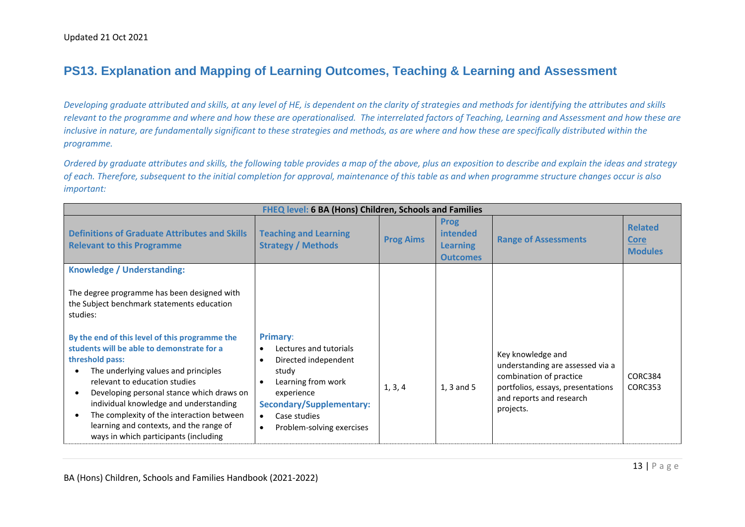#### **PS13. Explanation and Mapping of Learning Outcomes, Teaching & Learning and Assessment**

*Developing graduate attributed and skills, at any level of HE, is dependent on the clarity of strategies and methods for identifying the attributes and skills relevant to the programme and where and how these are operationalised. The interrelated factors of Teaching, Learning and Assessment and how these are inclusive in nature, are fundamentally significant to these strategies and methods, as are where and how these are specifically distributed within the programme.* 

*Ordered by graduate attributes and skills, the following table provides a map of the above, plus an exposition to describe and explain the ideas and strategy of each. Therefore, subsequent to the initial completion for approval, maintenance of this table as and when programme structure changes occur is also important:*

<span id="page-12-0"></span>

| FHEQ level: 6 BA (Hons) Children, Schools and Families                                                                                                                                                                                                                                                                                                                                                                                                  |                                                                                                                                                                                                             |                  |                                                                      |                                                                                                                                                                |                                                 |  |
|---------------------------------------------------------------------------------------------------------------------------------------------------------------------------------------------------------------------------------------------------------------------------------------------------------------------------------------------------------------------------------------------------------------------------------------------------------|-------------------------------------------------------------------------------------------------------------------------------------------------------------------------------------------------------------|------------------|----------------------------------------------------------------------|----------------------------------------------------------------------------------------------------------------------------------------------------------------|-------------------------------------------------|--|
| <b>Definitions of Graduate Attributes and Skills</b><br><b>Relevant to this Programme</b>                                                                                                                                                                                                                                                                                                                                                               | <b>Teaching and Learning</b><br><b>Strategy / Methods</b>                                                                                                                                                   | <b>Prog Aims</b> | <b>Prog</b><br><i>intended</i><br><b>Learning</b><br><b>Outcomes</b> | <b>Range of Assessments</b>                                                                                                                                    | <b>Related</b><br><b>Core</b><br><b>Modules</b> |  |
| Knowledge / Understanding:<br>The degree programme has been designed with<br>the Subject benchmark statements education<br>studies:                                                                                                                                                                                                                                                                                                                     |                                                                                                                                                                                                             |                  |                                                                      |                                                                                                                                                                |                                                 |  |
| By the end of this level of this programme the<br>students will be able to demonstrate for a<br>threshold pass:<br>The underlying values and principles<br>$\bullet$<br>relevant to education studies<br>Developing personal stance which draws on<br>$\bullet$<br>individual knowledge and understanding<br>The complexity of the interaction between<br>$\bullet$<br>learning and contexts, and the range of<br>ways in which participants (including | <b>Primary:</b><br>Lectures and tutorials<br>Directed independent<br>study<br>Learning from work<br>experience<br><b>Secondary/Supplementary:</b><br>Case studies<br>$\bullet$<br>Problem-solving exercises | 1, 3, 4          | $1, 3$ and 5                                                         | Key knowledge and<br>understanding are assessed via a<br>combination of practice<br>portfolios, essays, presentations<br>and reports and research<br>projects. | CORC384<br>CORC353                              |  |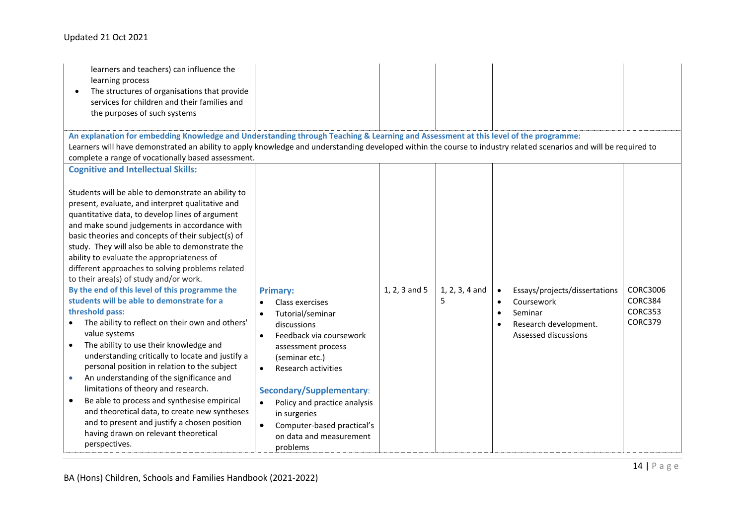#### Updated 21 Oct 2021

| learners and teachers) can influence the<br>learning process<br>The structures of organisations that provide<br>services for children and their families and<br>the purposes of such systems                                                                                                                                                                                                                                                                                                                                                                                                                                                                                                                                                                                                                                                                                                                                                                                                                                                                                                                                                                            |                                                                                                                                                                                                                                                                                                                                                                      |               |                     |                                                                                                                                                                    |                                                  |
|-------------------------------------------------------------------------------------------------------------------------------------------------------------------------------------------------------------------------------------------------------------------------------------------------------------------------------------------------------------------------------------------------------------------------------------------------------------------------------------------------------------------------------------------------------------------------------------------------------------------------------------------------------------------------------------------------------------------------------------------------------------------------------------------------------------------------------------------------------------------------------------------------------------------------------------------------------------------------------------------------------------------------------------------------------------------------------------------------------------------------------------------------------------------------|----------------------------------------------------------------------------------------------------------------------------------------------------------------------------------------------------------------------------------------------------------------------------------------------------------------------------------------------------------------------|---------------|---------------------|--------------------------------------------------------------------------------------------------------------------------------------------------------------------|--------------------------------------------------|
| An explanation for embedding Knowledge and Understanding through Teaching & Learning and Assessment at this level of the programme:<br>Learners will have demonstrated an ability to apply knowledge and understanding developed within the course to industry related scenarios and will be required to<br>complete a range of vocationally based assessment.                                                                                                                                                                                                                                                                                                                                                                                                                                                                                                                                                                                                                                                                                                                                                                                                          |                                                                                                                                                                                                                                                                                                                                                                      |               |                     |                                                                                                                                                                    |                                                  |
| <b>Cognitive and Intellectual Skills:</b><br>Students will be able to demonstrate an ability to<br>present, evaluate, and interpret qualitative and<br>quantitative data, to develop lines of argument<br>and make sound judgements in accordance with<br>basic theories and concepts of their subject(s) of<br>study. They will also be able to demonstrate the<br>ability to evaluate the appropriateness of<br>different approaches to solving problems related<br>to their area(s) of study and/or work.<br>By the end of this level of this programme the<br>students will be able to demonstrate for a<br>threshold pass:<br>The ability to reflect on their own and others'<br>value systems<br>The ability to use their knowledge and<br>understanding critically to locate and justify a<br>personal position in relation to the subject<br>An understanding of the significance and<br>$\bullet$<br>limitations of theory and research.<br>Be able to process and synthesise empirical<br>$\bullet$<br>and theoretical data, to create new syntheses<br>and to present and justify a chosen position<br>having drawn on relevant theoretical<br>perspectives. | <b>Primary:</b><br>Class exercises<br>Tutorial/seminar<br>$\bullet$<br>discussions<br>Feedback via coursework<br>$\bullet$<br>assessment process<br>(seminar etc.)<br>Research activities<br>$\bullet$<br>Secondary/Supplementary:<br>Policy and practice analysis<br>in surgeries<br>Computer-based practical's<br>$\bullet$<br>on data and measurement<br>problems | 1, 2, 3 and 5 | 1, 2, 3, 4 and<br>5 | Essays/projects/dissertations<br>$\bullet$<br>Coursework<br>$\bullet$<br>Seminar<br>$\bullet$<br>Research development.<br>$\bullet$<br><b>Assessed discussions</b> | CORC3006<br>CORC384<br><b>CORC353</b><br>CORC379 |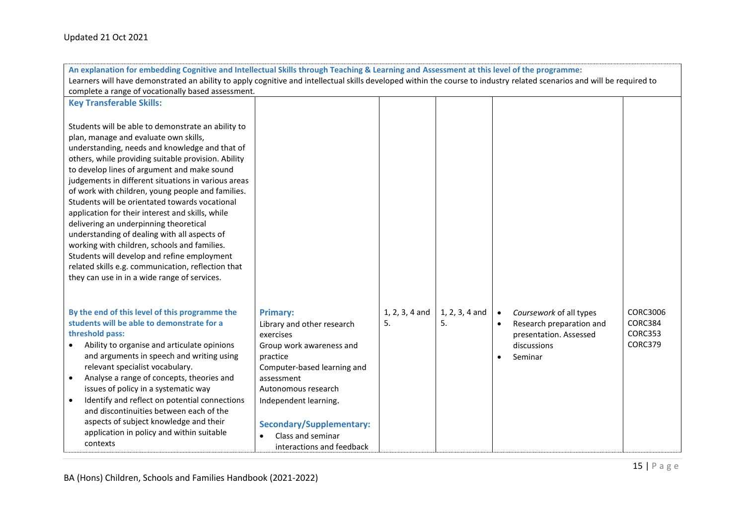| An explanation for embedding Cognitive and Intellectual Skills through Teaching & Learning and Assessment at this level of the programme:                               |                                         |                        |                        |                                      |                          |                            |  |
|-------------------------------------------------------------------------------------------------------------------------------------------------------------------------|-----------------------------------------|------------------------|------------------------|--------------------------------------|--------------------------|----------------------------|--|
| Learners will have demonstrated an ability to apply cognitive and intellectual skills developed within the course to industry related scenarios and will be required to |                                         |                        |                        |                                      |                          |                            |  |
| complete a range of vocationally based assessment.                                                                                                                      |                                         |                        |                        |                                      |                          |                            |  |
| <b>Key Transferable Skills:</b>                                                                                                                                         |                                         |                        |                        |                                      |                          |                            |  |
|                                                                                                                                                                         |                                         |                        |                        |                                      |                          |                            |  |
| Students will be able to demonstrate an ability to                                                                                                                      |                                         |                        |                        |                                      |                          |                            |  |
| plan, manage and evaluate own skills,                                                                                                                                   |                                         |                        |                        |                                      |                          |                            |  |
| understanding, needs and knowledge and that of                                                                                                                          |                                         |                        |                        |                                      |                          |                            |  |
| others, while providing suitable provision. Ability                                                                                                                     |                                         |                        |                        |                                      |                          |                            |  |
| to develop lines of argument and make sound                                                                                                                             |                                         |                        |                        |                                      |                          |                            |  |
| judgements in different situations in various areas                                                                                                                     |                                         |                        |                        |                                      |                          |                            |  |
| of work with children, young people and families.                                                                                                                       |                                         |                        |                        |                                      |                          |                            |  |
| Students will be orientated towards vocational                                                                                                                          |                                         |                        |                        |                                      |                          |                            |  |
| application for their interest and skills, while                                                                                                                        |                                         |                        |                        |                                      |                          |                            |  |
| delivering an underpinning theoretical                                                                                                                                  |                                         |                        |                        |                                      |                          |                            |  |
| understanding of dealing with all aspects of                                                                                                                            |                                         |                        |                        |                                      |                          |                            |  |
| working with children, schools and families.                                                                                                                            |                                         |                        |                        |                                      |                          |                            |  |
| Students will develop and refine employment                                                                                                                             |                                         |                        |                        |                                      |                          |                            |  |
| related skills e.g. communication, reflection that                                                                                                                      |                                         |                        |                        |                                      |                          |                            |  |
| they can use in in a wide range of services.                                                                                                                            |                                         |                        |                        |                                      |                          |                            |  |
|                                                                                                                                                                         |                                         |                        |                        |                                      |                          |                            |  |
|                                                                                                                                                                         |                                         |                        |                        |                                      |                          |                            |  |
| By the end of this level of this programme the<br>students will be able to demonstrate for a                                                                            | <b>Primary:</b>                         | $1, 2, 3, 4$ and<br>5. | $1, 2, 3, 4$ and<br>5. | Coursework of all types<br>$\bullet$ |                          | <b>CORC3006</b><br>CORC384 |  |
|                                                                                                                                                                         | Library and other research              |                        |                        | $\bullet$                            | Research preparation and | <b>CORC353</b>             |  |
| threshold pass:                                                                                                                                                         | exercises                               |                        |                        | presentation. Assessed               |                          | CORC379                    |  |
| Ability to organise and articulate opinions<br>and arguments in speech and writing using                                                                                | Group work awareness and                |                        |                        | discussions                          |                          |                            |  |
| relevant specialist vocabulary.                                                                                                                                         | practice<br>Computer-based learning and |                        |                        | Seminar                              |                          |                            |  |
| Analyse a range of concepts, theories and<br>$\bullet$                                                                                                                  | assessment                              |                        |                        |                                      |                          |                            |  |
| issues of policy in a systematic way                                                                                                                                    | Autonomous research                     |                        |                        |                                      |                          |                            |  |
| Identify and reflect on potential connections                                                                                                                           | Independent learning.                   |                        |                        |                                      |                          |                            |  |
| and discontinuities between each of the                                                                                                                                 |                                         |                        |                        |                                      |                          |                            |  |
| aspects of subject knowledge and their                                                                                                                                  |                                         |                        |                        |                                      |                          |                            |  |
| application in policy and within suitable                                                                                                                               | <b>Secondary/Supplementary:</b>         |                        |                        |                                      |                          |                            |  |
| contexts                                                                                                                                                                | Class and seminar<br>$\bullet$          |                        |                        |                                      |                          |                            |  |
|                                                                                                                                                                         | interactions and feedback               |                        |                        |                                      |                          |                            |  |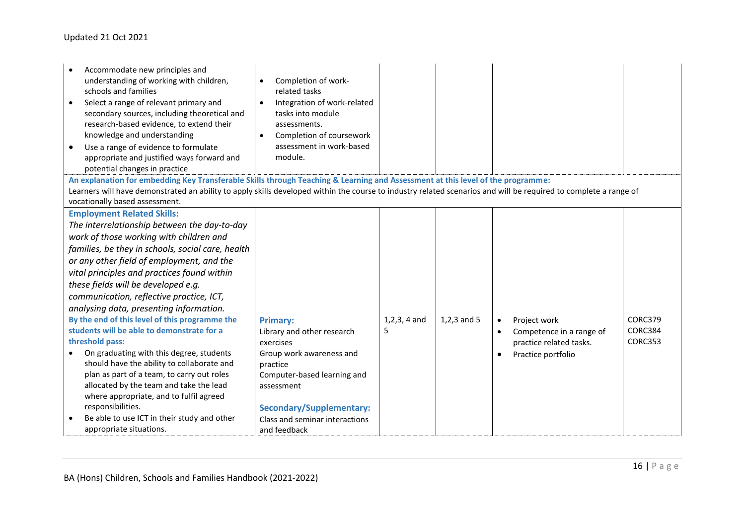| Accommodate new principles and<br>understanding of working with children,<br>schools and families<br>Select a range of relevant primary and<br>secondary sources, including theoretical and<br>research-based evidence, to extend their<br>knowledge and understanding<br>Use a range of evidence to formulate<br>appropriate and justified ways forward and<br>potential changes in practice | Completion of work-<br>$\bullet$<br>related tasks<br>Integration of work-related<br>$\bullet$<br>tasks into module<br>assessments.<br>Completion of coursework<br>$\bullet$<br>assessment in work-based<br>module. |                  |               |           |                          |         |
|-----------------------------------------------------------------------------------------------------------------------------------------------------------------------------------------------------------------------------------------------------------------------------------------------------------------------------------------------------------------------------------------------|--------------------------------------------------------------------------------------------------------------------------------------------------------------------------------------------------------------------|------------------|---------------|-----------|--------------------------|---------|
| An explanation for embedding Key Transferable Skills through Teaching & Learning and Assessment at this level of the programme:                                                                                                                                                                                                                                                               |                                                                                                                                                                                                                    |                  |               |           |                          |         |
| Learners will have demonstrated an ability to apply skills developed within the course to industry related scenarios and will be required to complete a range of                                                                                                                                                                                                                              |                                                                                                                                                                                                                    |                  |               |           |                          |         |
| vocationally based assessment.                                                                                                                                                                                                                                                                                                                                                                |                                                                                                                                                                                                                    |                  |               |           |                          |         |
| <b>Employment Related Skills:</b>                                                                                                                                                                                                                                                                                                                                                             |                                                                                                                                                                                                                    |                  |               |           |                          |         |
| The interrelationship between the day-to-day                                                                                                                                                                                                                                                                                                                                                  |                                                                                                                                                                                                                    |                  |               |           |                          |         |
| work of those working with children and                                                                                                                                                                                                                                                                                                                                                       |                                                                                                                                                                                                                    |                  |               |           |                          |         |
| families, be they in schools, social care, health                                                                                                                                                                                                                                                                                                                                             |                                                                                                                                                                                                                    |                  |               |           |                          |         |
| or any other field of employment, and the                                                                                                                                                                                                                                                                                                                                                     |                                                                                                                                                                                                                    |                  |               |           |                          |         |
| vital principles and practices found within                                                                                                                                                                                                                                                                                                                                                   |                                                                                                                                                                                                                    |                  |               |           |                          |         |
| these fields will be developed e.g.                                                                                                                                                                                                                                                                                                                                                           |                                                                                                                                                                                                                    |                  |               |           |                          |         |
| communication, reflective practice, ICT,                                                                                                                                                                                                                                                                                                                                                      |                                                                                                                                                                                                                    |                  |               |           |                          |         |
| analysing data, presenting information.                                                                                                                                                                                                                                                                                                                                                       |                                                                                                                                                                                                                    |                  |               |           |                          |         |
| By the end of this level of this programme the                                                                                                                                                                                                                                                                                                                                                | <b>Primary:</b>                                                                                                                                                                                                    | $1, 2, 3, 4$ and | $1,2,3$ and 5 | $\bullet$ | Project work             | CORC379 |
| students will be able to demonstrate for a                                                                                                                                                                                                                                                                                                                                                    | Library and other research                                                                                                                                                                                         | 5                |               | $\bullet$ | Competence in a range of | CORC384 |
| threshold pass:                                                                                                                                                                                                                                                                                                                                                                               | exercises                                                                                                                                                                                                          |                  |               |           | practice related tasks.  | CORC353 |
| On graduating with this degree, students                                                                                                                                                                                                                                                                                                                                                      | Group work awareness and                                                                                                                                                                                           |                  |               | $\bullet$ | Practice portfolio       |         |
| should have the ability to collaborate and                                                                                                                                                                                                                                                                                                                                                    | practice                                                                                                                                                                                                           |                  |               |           |                          |         |
| plan as part of a team, to carry out roles                                                                                                                                                                                                                                                                                                                                                    | Computer-based learning and                                                                                                                                                                                        |                  |               |           |                          |         |
| allocated by the team and take the lead                                                                                                                                                                                                                                                                                                                                                       | assessment                                                                                                                                                                                                         |                  |               |           |                          |         |
| where appropriate, and to fulfil agreed                                                                                                                                                                                                                                                                                                                                                       |                                                                                                                                                                                                                    |                  |               |           |                          |         |
| responsibilities.                                                                                                                                                                                                                                                                                                                                                                             | <b>Secondary/Supplementary:</b>                                                                                                                                                                                    |                  |               |           |                          |         |
| Be able to use ICT in their study and other                                                                                                                                                                                                                                                                                                                                                   | Class and seminar interactions                                                                                                                                                                                     |                  |               |           |                          |         |
| appropriate situations.                                                                                                                                                                                                                                                                                                                                                                       | and feedback                                                                                                                                                                                                       |                  |               |           |                          |         |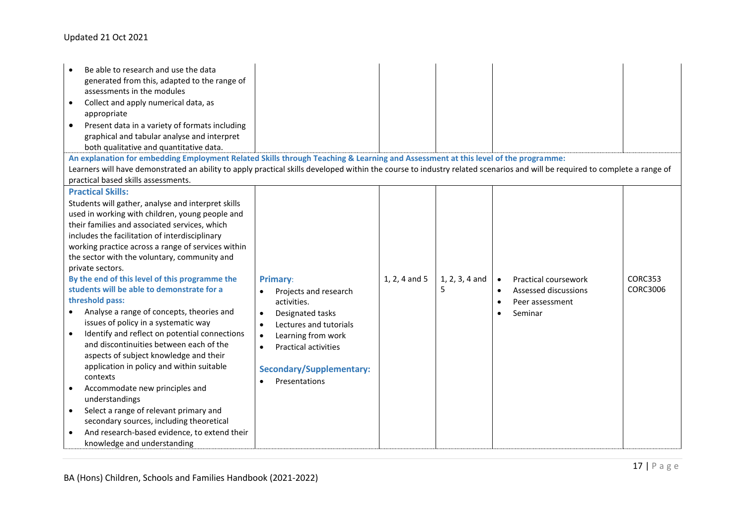#### Updated 21 Oct 2021

| Be able to research and use the data<br>generated from this, adapted to the range of<br>assessments in the modules<br>Collect and apply numerical data, as<br>$\bullet$<br>appropriate<br>Present data in a variety of formats including<br>graphical and tabular analyse and interpret<br>both qualitative and quantitative data.<br>An explanation for embedding Employment Related Skills through Teaching & Learning and Assessment at this level of the programme:<br>Learners will have demonstrated an ability to apply practical skills developed within the course to industry related scenarios and will be required to complete a range of<br>practical based skills assessments.                                                                                                                                                                                                                                                                                                                                                       |                                                                                                                                                                                                                                                       |               |                       |                                                                                                                   |                                   |
|----------------------------------------------------------------------------------------------------------------------------------------------------------------------------------------------------------------------------------------------------------------------------------------------------------------------------------------------------------------------------------------------------------------------------------------------------------------------------------------------------------------------------------------------------------------------------------------------------------------------------------------------------------------------------------------------------------------------------------------------------------------------------------------------------------------------------------------------------------------------------------------------------------------------------------------------------------------------------------------------------------------------------------------------------|-------------------------------------------------------------------------------------------------------------------------------------------------------------------------------------------------------------------------------------------------------|---------------|-----------------------|-------------------------------------------------------------------------------------------------------------------|-----------------------------------|
| <b>Practical Skills:</b><br>Students will gather, analyse and interpret skills<br>used in working with children, young people and<br>their families and associated services, which<br>includes the facilitation of interdisciplinary<br>working practice across a range of services within<br>the sector with the voluntary, community and<br>private sectors.<br>By the end of this level of this programme the<br>students will be able to demonstrate for a<br>threshold pass:<br>Analyse a range of concepts, theories and<br>issues of policy in a systematic way<br>Identify and reflect on potential connections<br>$\bullet$<br>and discontinuities between each of the<br>aspects of subject knowledge and their<br>application in policy and within suitable<br>contexts<br>Accommodate new principles and<br>$\bullet$<br>understandings<br>Select a range of relevant primary and<br>$\bullet$<br>secondary sources, including theoretical<br>And research-based evidence, to extend their<br>$\bullet$<br>knowledge and understanding | <b>Primary:</b><br>Projects and research<br>activities.<br>Designated tasks<br>$\bullet$<br>Lectures and tutorials<br>$\bullet$<br>Learning from work<br>$\bullet$<br><b>Practical activities</b><br><b>Secondary/Supplementary:</b><br>Presentations | 1, 2, 4 and 5 | $1, 2, 3, 4$ and<br>5 | Practical coursework<br>Assessed discussions<br>$\bullet$<br>Peer assessment<br>$\bullet$<br>Seminar<br>$\bullet$ | <b>CORC353</b><br><b>CORC3006</b> |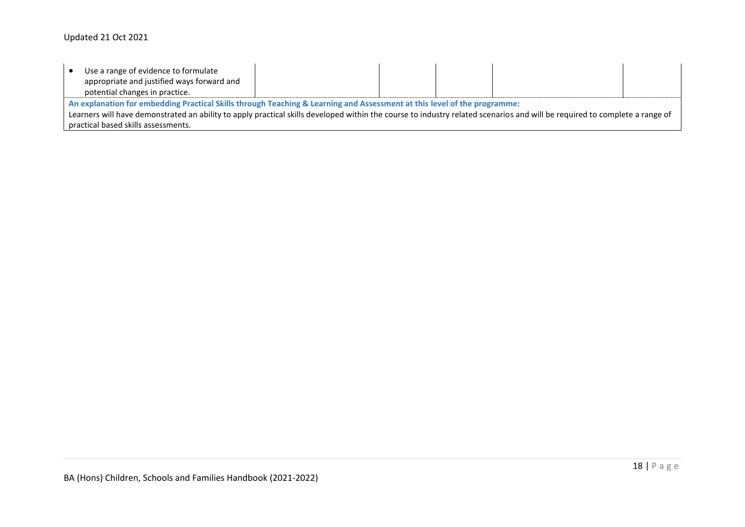|                                                                                                                                                                                                                                                                                                        | Use a range of evidence to formulate<br>appropriate and justified ways forward and<br>potential changes in practice. |  |  |  |  |  |
|--------------------------------------------------------------------------------------------------------------------------------------------------------------------------------------------------------------------------------------------------------------------------------------------------------|----------------------------------------------------------------------------------------------------------------------|--|--|--|--|--|
| An explanation for embedding Practical Skills through Teaching & Learning and Assessment at this level of the programme:<br>Learners will have demonstrated an ability to apply practical skills developed within the course to industry related scenarios and will be required to complete a range of |                                                                                                                      |  |  |  |  |  |
| practical based skills assessments.                                                                                                                                                                                                                                                                    |                                                                                                                      |  |  |  |  |  |